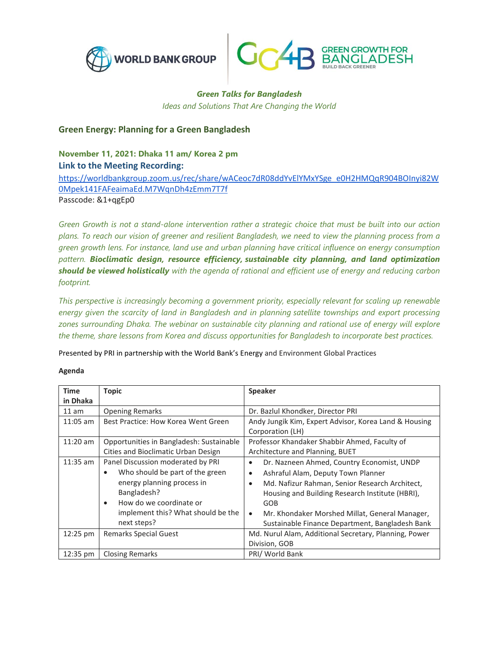



## *Green Talks for Bangladesh Ideas and Solutions That Are Changing the World*

## **Green Energy: Planning for a Green Bangladesh**

**November 11, 2021: Dhaka 11 am/ Korea 2 pm Link to the Meeting Recording:**

[https://worldbankgroup.zoom.us/rec/share/wACeoc7dR08ddYvElYMxYSge\\_e0H2HMQqR904BOInyi82W](https://worldbankgroup.zoom.us/rec/share/wACeoc7dR08ddYvElYMxYSge_e0H2HMQqR904BOInyi82W0Mpek141FAFeaimaEd.M7WqnDh4zEmm7T7f) [0Mpek141FAFeaimaEd.M7WqnDh4zEmm7T7f](https://worldbankgroup.zoom.us/rec/share/wACeoc7dR08ddYvElYMxYSge_e0H2HMQqR904BOInyi82W0Mpek141FAFeaimaEd.M7WqnDh4zEmm7T7f) Passcode: &1+qgEp0

Green Growth is not a stand-alone intervention rather a strategic choice that must be built into our action plans. To reach our vision of greener and resilient Bangladesh, we need to view the planning process from a *green growth lens. For instance, land use and urban planning have critical influence on energy consumption pattern. Bioclimatic design, resource efficiency, sustainable city planning, and land optimization should be viewed holistically with the agenda of rational and efficient use of energy and reducing carbon footprint.*

*This perspective is increasingly becoming a government priority, especially relevant for scaling up renewable energy given the scarcity of land in Bangladesh and in planning satellite townships and export processing zones surrounding Dhaka. The webinar on sustainable city planning and rational use of energy will explore the theme, share lessons from Korea and discuss opportunities for Bangladesh to incorporate best practices.* 

Presented by PRI in partnership with the World Bank's Energy and Environment Global Practices

|  | . .<br>. .<br>×<br>× |
|--|----------------------|
|--|----------------------|

| <b>Time</b> | <b>Topic</b>                             | Speaker                                                     |
|-------------|------------------------------------------|-------------------------------------------------------------|
| in Dhaka    |                                          |                                                             |
| 11 am       | <b>Opening Remarks</b>                   | Dr. Bazlul Khondker, Director PRI                           |
| $11:05$ am  | Best Practice: How Korea Went Green      | Andy Jungik Kim, Expert Advisor, Korea Land & Housing       |
|             |                                          | Corporation (LH)                                            |
| $11:20$ am  | Opportunities in Bangladesh: Sustainable | Professor Khandaker Shabbir Ahmed, Faculty of               |
|             | Cities and Bioclimatic Urban Design      | Architecture and Planning, BUET                             |
| $11:35$ am  | Panel Discussion moderated by PRI        | Dr. Nazneen Ahmed, Country Economist, UNDP<br>$\bullet$     |
|             | Who should be part of the green<br>٠     | Ashraful Alam, Deputy Town Planner<br>$\bullet$             |
|             | energy planning process in               | Md. Nafizur Rahman, Senior Research Architect,<br>$\bullet$ |
|             | Bangladesh?                              | Housing and Building Research Institute (HBRI),             |
|             | How do we coordinate or<br>$\bullet$     | GOB                                                         |
|             | implement this? What should be the       | Mr. Khondaker Morshed Millat, General Manager,<br>$\bullet$ |
|             | next steps?                              | Sustainable Finance Department, Bangladesh Bank             |
| 12:25 pm    | <b>Remarks Special Guest</b>             | Md. Nurul Alam, Additional Secretary, Planning, Power       |
|             |                                          | Division, GOB                                               |
| 12:35 pm    | <b>Closing Remarks</b>                   | PRI/ World Bank                                             |